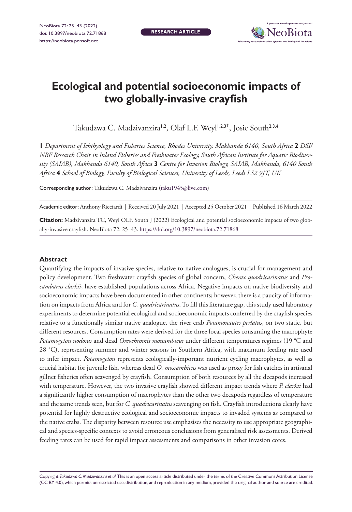**RESEARCH ARTICLE**



# **Ecological and potential socioeconomic impacts of two globally-invasive crayfish**

Takudzwa C. Madzivanzira<sup>1,2</sup>, Olaf L.F. Weyl<sup>1,2,3†</sup>, Josie South<sup>2,3,4</sup>

**1** *Department of Ichthyology and Fisheries Science, Rhodes University, Makhanda 6140, South Africa* **2** *DSI/ NRF Research Chair in Inland Fisheries and Freshwater Ecology, South African Institute for Aquatic Biodiversity (SAIAB), Makhanda 6140, South Africa* **3** *Centre for Invasion Biology, SAIAB, Makhanda, 6140 South Africa* **4** *School of Biology, Faculty of Biological Sciences, University of Leeds, Leeds LS2 9JT, UK*

Corresponding author: Takudzwa C. Madzivanzira ([taku1945@live.com](mailto:taku1945@live.com))

Academic editor: Anthony Ricciardi | Received 20 July 2021 | Accepted 25 October 2021 | Published 16 March 2022

**Citation:** Madzivanzira TC, Weyl OLF, South J (2022) Ecological and potential socioeconomic impacts of two globally-invasive crayfish. NeoBiota 72: 25–43. <https://doi.org/10.3897/neobiota.72.71868>

#### **Abstract**

Quantifying the impacts of invasive species, relative to native analogues, is crucial for management and policy development. Two freshwater crayfish species of global concern, *Cherax quadricarinatus* and *Procambarus clarkii*, have established populations across Africa. Negative impacts on native biodiversity and socioeconomic impacts have been documented in other continents; however, there is a paucity of information on impacts from Africa and for *C. quadricarinatus*. To fill this literature gap, this study used laboratory experiments to determine potential ecological and socioeconomic impacts conferred by the crayfish species relative to a functionally similar native analogue, the river crab *Potamonautes perlatus*, on two static, but different resources. Consumption rates were derived for the three focal species consuming the macrophyte *Potamogeton nodosus* and dead *Oreochromis mossambicus* under different temperatures regimes (19 °C and 28 °C), representing summer and winter seasons in Southern Africa, with maximum feeding rate used to infer impact. *Potamogeton* represents ecologically-important nutrient cycling macrophytes, as well as crucial habitat for juvenile fish, whereas dead *O. mossambicus* was used as proxy for fish catches in artisanal gillnet fisheries often scavenged by crayfish. Consumption of both resources by all the decapods increased with temperature. However, the two invasive crayfish showed different impact trends where *P. clarkii* had a significantly higher consumption of macrophytes than the other two decapods regardless of temperature and the same trends seen, but for *C. quadricarinatus* scavenging on fish. Crayfish introductions clearly have potential for highly destructive ecological and socioeconomic impacts to invaded systems as compared to the native crabs. The disparity between resource use emphasises the necessity to use appropriate geographical and species-specific contexts to avoid erroneous conclusions from generalised risk assessments. Derived feeding rates can be used for rapid impact assessments and comparisons in other invasion cores.

Copyright *Takudzwa C. Madzivanzira et al.* This is an open access article distributed under the terms of the [Creative Commons Attribution License](http://creativecommons.org/licenses/by/4.0/)  [\(CC BY 4.0\),](http://creativecommons.org/licenses/by/4.0/) which permits unrestricted use, distribution, and reproduction in any medium, provided the original author and source are credited.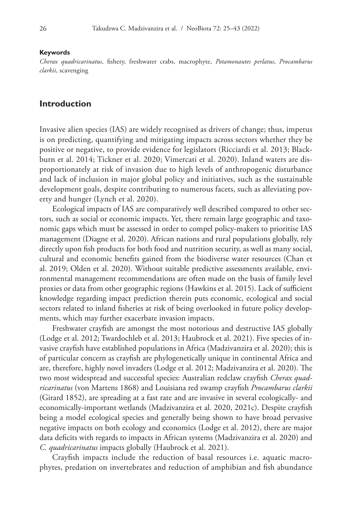#### **Keywords**

*Cherax quadricarinatus*, fishery, freshwater crabs, macrophyte, *Potamonautes perlatus*, *Procambarus clarkii*, scavenging

### **Introduction**

Invasive alien species (IAS) are widely recognised as drivers of change; thus, impetus is on predicting, quantifying and mitigating impacts across sectors whether they be positive or negative, to provide evidence for legislators (Ricciardi et al. 2013; Blackburn et al. 2014; Tickner et al. 2020; Vimercati et al. 2020). Inland waters are disproportionately at risk of invasion due to high levels of anthropogenic disturbance and lack of inclusion in major global policy and initiatives, such as the sustainable development goals, despite contributing to numerous facets, such as alleviating poverty and hunger (Lynch et al. 2020).

Ecological impacts of IAS are comparatively well described compared to other sectors, such as social or economic impacts. Yet, there remain large geographic and taxonomic gaps which must be assessed in order to compel policy-makers to prioritise IAS management (Diagne et al. 2020). African nations and rural populations globally, rely directly upon fish products for both food and nutrition security, as well as many social, cultural and economic benefits gained from the biodiverse water resources (Chan et al. 2019; Olden et al. 2020). Without suitable predictive assessments available, environmental management recommendations are often made on the basis of family level proxies or data from other geographic regions (Hawkins et al. 2015). Lack of sufficient knowledge regarding impact prediction therein puts economic, ecological and social sectors related to inland fisheries at risk of being overlooked in future policy developments, which may further exacerbate invasion impacts.

Freshwater crayfish are amongst the most notorious and destructive IAS globally (Lodge et al. 2012; Twardochleb et al. 2013; Haubrock et al. 2021). Five species of invasive crayfish have established populations in Africa (Madzivanzira et al. 2020); this is of particular concern as crayfish are phylogenetically unique in continental Africa and are, therefore, highly novel invaders (Lodge et al. 2012; Madzivanzira et al. 2020). The two most widespread and successful species: Australian redclaw crayfish *Cherax quadricarinatus* (von Martens 1868) and Louisiana red swamp crayfish *Procambarus clarkii* (Girard 1852), are spreading at a fast rate and are invasive in several ecologically- and economically-important wetlands (Madzivanzira et al. 2020, 2021c). Despite crayfish being a model ecological species and generally being shown to have broad pervasive negative impacts on both ecology and economics (Lodge et al. 2012), there are major data deficits with regards to impacts in African systems (Madzivanzira et al. 2020) and *C. quadricarinatus* impacts globally (Haubrock et al. 2021).

Crayfish impacts include the reduction of basal resources i.e. aquatic macrophytes, predation on invertebrates and reduction of amphibian and fish abundance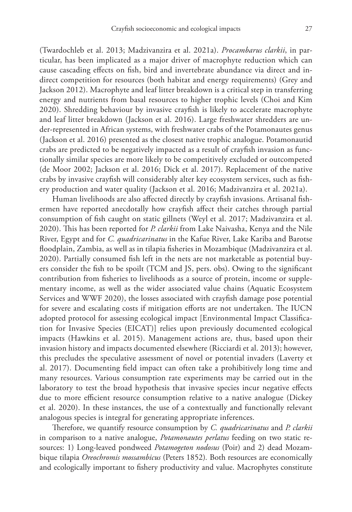(Twardochleb et al. 2013; Madzivanzira et al. 2021a). *Procambarus clarkii*, in particular, has been implicated as a major driver of macrophyte reduction which can cause cascading effects on fish, bird and invertebrate abundance via direct and indirect competition for resources (both habitat and energy requirements) (Grey and Jackson 2012). Macrophyte and leaf litter breakdown is a critical step in transferring energy and nutrients from basal resources to higher trophic levels (Choi and Kim 2020). Shredding behaviour by invasive crayfish is likely to accelerate macrophyte and leaf litter breakdown (Jackson et al. 2016). Large freshwater shredders are under-represented in African systems, with freshwater crabs of the Potamonautes genus (Jackson et al. 2016) presented as the closest native trophic analogue. Potamonautid crabs are predicted to be negatively impacted as a result of crayfish invasion as functionally similar species are more likely to be competitively excluded or outcompeted (de Moor 2002; Jackson et al. 2016; Dick et al. 2017). Replacement of the native crabs by invasive crayfish will considerably alter key ecosystem services, such as fishery production and water quality (Jackson et al. 2016; Madzivanzira et al. 2021a).

Human livelihoods are also affected directly by crayfish invasions. Artisanal fishermen have reported anecdotally how crayfish affect their catches through partial consumption of fish caught on static gillnets (Weyl et al. 2017; Madzivanzira et al. 2020). This has been reported for *P. clarkii* from Lake Naivasha, Kenya and the Nile River, Egypt and for *C. quadricarinatus* in the Kafue River, Lake Kariba and Barotse floodplain, Zambia, as well as in tilapia fisheries in Mozambique (Madzivanzira et al. 2020). Partially consumed fish left in the nets are not marketable as potential buyers consider the fish to be spoilt (TCM and JS, pers. obs). Owing to the significant contribution from fisheries to livelihoods as a source of protein, income or supplementary income, as well as the wider associated value chains (Aquatic Ecosystem Services and WWF 2020), the losses associated with crayfish damage pose potential for severe and escalating costs if mitigation efforts are not undertaken. The IUCN adopted protocol for assessing ecological impact [Environmental Impact Classification for Invasive Species (EICAT)] relies upon previously documented ecological impacts (Hawkins et al. 2015). Management actions are, thus, based upon their invasion history and impacts documented elsewhere (Ricciardi et al. 2013); however, this precludes the speculative assessment of novel or potential invaders (Laverty et al. 2017). Documenting field impact can often take a prohibitively long time and many resources. Various consumption rate experiments may be carried out in the laboratory to test the broad hypothesis that invasive species incur negative effects due to more efficient resource consumption relative to a native analogue (Dickey et al. 2020). In these instances, the use of a contextually and functionally relevant analogous species is integral for generating appropriate inferences.

Therefore, we quantify resource consumption by *C. quadricarinatus* and *P. clarkii* in comparison to a native analogue, *Potamonautes perlatus* feeding on two static resources: 1) Long-leaved pondweed *Potamogeton nodosus* (Poir) and 2) dead Mozambique tilapia *Oreochromis mossambicus* (Peters 1852)*.* Both resources are economically and ecologically important to fishery productivity and value. Macrophytes constitute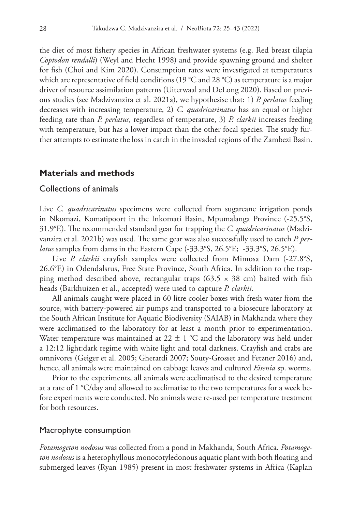the diet of most fishery species in African freshwater systems (e.g. Red breast tilapia *Coptodon rendalli*) (Weyl and Hecht 1998) and provide spawning ground and shelter for fish (Choi and Kim 2020). Consumption rates were investigated at temperatures which are representative of field conditions (19 °C and 28 °C) as temperature is a major driver of resource assimilation patterns (Uiterwaal and DeLong 2020). Based on previous studies (see Madzivanzira et al. 2021a), we hypothesise that: 1) *P. perlatus* feeding decreases with increasing temperature, 2) *C. quadricarinatus* has an equal or higher feeding rate than *P. perlatus*, regardless of temperature, 3) *P. clarkii* increases feeding with temperature, but has a lower impact than the other focal species. The study further attempts to estimate the loss in catch in the invaded regions of the Zambezi Basin.

## **Materials and methods**

#### Collections of animals

Live *C. quadricarinatus* specimens were collected from sugarcane irrigation ponds in Nkomazi, Komatipoort in the Inkomati Basin, Mpumalanga Province (-25.5°S, 31.9°E). The recommended standard gear for trapping the *C. quadricarinatus* (Madzivanzira et al. 2021b) was used. The same gear was also successfully used to catch *P. perlatus* samples from dams in the Eastern Cape (-33.3°S, 26.5°E; -33.3°S, 26.5°E).

Live *P. clarkii* crayfish samples were collected from Mimosa Dam (-27.8°S, 26.6°E) in Odendalsrus, Free State Province, South Africa. In addition to the trapping method described above, rectangular traps  $(63.5 \times 38 \text{ cm})$  baited with fish heads (Barkhuizen et al., accepted) were used to capture *P. clarkii*.

All animals caught were placed in 60 litre cooler boxes with fresh water from the source, with battery-powered air pumps and transported to a biosecure laboratory at the South African Institute for Aquatic Biodiversity (SAIAB) in Makhanda where they were acclimatised to the laboratory for at least a month prior to experimentation. Water temperature was maintained at  $22 \pm 1$  °C and the laboratory was held under a 12:12 light:dark regime with white light and total darkness. Crayfish and crabs are omnivores (Geiger et al. 2005; Gherardi 2007; Souty-Grosset and Fetzner 2016) and, hence, all animals were maintained on cabbage leaves and cultured *Eisenia* sp. worms.

Prior to the experiments, all animals were acclimatised to the desired temperature at a rate of 1 °C/day and allowed to acclimatise to the two temperatures for a week before experiments were conducted. No animals were re-used per temperature treatment for both resources.

#### Macrophyte consumption

*Potamogeton nodosus* was collected from a pond in Makhanda, South Africa. *Potamogeton nodosus* is a heterophyllous monocotyledonous aquatic plant with both floating and submerged leaves (Ryan 1985) present in most freshwater systems in Africa (Kaplan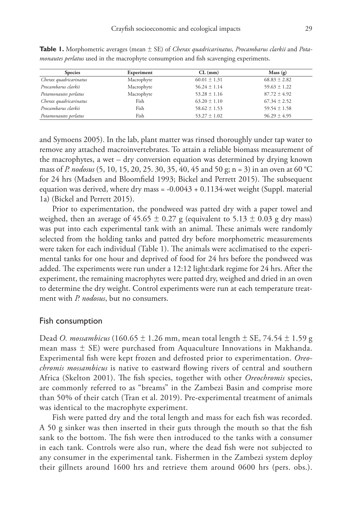| <b>Species</b>         | Experiment | $CL$ (mm)        | Mass(g)          |  |  |
|------------------------|------------|------------------|------------------|--|--|
| Cherax quadricarinatus | Macrophyte | $60.01 \pm 1.31$ | $68.83 \pm 2.82$ |  |  |
| Procambarus clarkii    | Macrophyte | $56.24 \pm 1.14$ | $59.63 \pm 1.22$ |  |  |
| Potamonautes perlatus  | Macrophyte | $53.28 \pm 1.16$ | $87.72 \pm 4.92$ |  |  |
| Cherax quadricarinatus | Fish       | $63.20 \pm 1.10$ | $67.34 \pm 2.52$ |  |  |
| Procambarus clarkii    | Fish       | $58.62 \pm 1.53$ | $59.54 \pm 1.58$ |  |  |
| Potamonautes perlatus  | Fish       | $53.27 \pm 1.02$ | $96.29 \pm 4.95$ |  |  |

**Table 1.** Morphometric averages (mean ± SE) of *Cherax quadricarinatus*, *Procambarus clarkii* and *Potamonautes perlatus* used in the macrophyte consumption and fish scavenging experiments.

and Symoens 2005). In the lab, plant matter was rinsed thoroughly under tap water to remove any attached macroinvertebrates. To attain a reliable biomass measurement of the macrophytes, a wet – dry conversion equation was determined by drying known mass of *P. nodosus* (5, 10, 15, 20, 25. 30, 35, 40, 45 and 50 g; n = 3) in an oven at 60 °C for 24 hrs (Madsen and Bloomfield 1993; Bickel and Perrett 2015). The subsequent equation was derived, where dry mass = -0.0043 + 0.1134·wet weight (Suppl. material 1a) (Bickel and Perrett 2015).

Prior to experimentation, the pondweed was patted dry with a paper towel and weighed, then an average of 45.65  $\pm$  0.27 g (equivalent to 5.13  $\pm$  0.03 g dry mass) was put into each experimental tank with an animal. These animals were randomly selected from the holding tanks and patted dry before morphometric measurements were taken for each individual (Table 1). The animals were acclimatised to the experimental tanks for one hour and deprived of food for 24 hrs before the pondweed was added. The experiments were run under a 12:12 light:dark regime for 24 hrs. After the experiment, the remaining macrophytes were patted dry, weighed and dried in an oven to determine the dry weight. Control experiments were run at each temperature treatment with *P. nodosus*, but no consumers.

#### Fish consumption

Dead *O. mossambicus* (160.65 ± 1.26 mm, mean total length ± SE, 74.54 ± 1.59 g mean mass  $\pm$  SE) were purchased from Aquaculture Innovations in Makhanda. Experimental fish were kept frozen and defrosted prior to experimentation. *Oreochromis mossambicus* is native to eastward flowing rivers of central and southern Africa (Skelton 2001). The fish species, together with other *Oreochromis* species, are commonly referred to as "breams" in the Zambezi Basin and comprise more than 50% of their catch (Tran et al. 2019). Pre-experimental treatment of animals was identical to the macrophyte experiment.

Fish were patted dry and the total length and mass for each fish was recorded. A 50 g sinker was then inserted in their guts through the mouth so that the fish sank to the bottom. The fish were then introduced to the tanks with a consumer in each tank. Controls were also run, where the dead fish were not subjected to any consumer in the experimental tank. Fishermen in the Zambezi system deploy their gillnets around 1600 hrs and retrieve them around 0600 hrs (pers. obs.).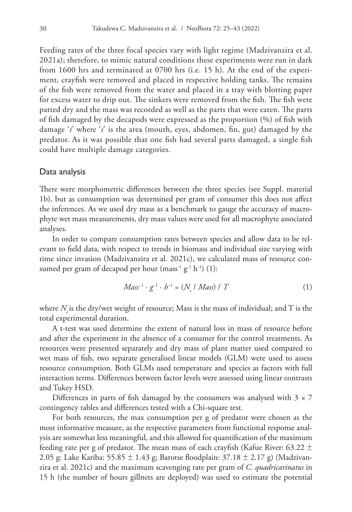Feeding rates of the three focal species vary with light regime (Madzivanzira et al. 2021a); therefore, to mimic natural conditions these experiments were run in dark from 1600 hrs and terminated at 0700 hrs (i.e. 15 h). At the end of the experiment, crayfish were removed and placed in respective holding tanks. The remains of the fish were removed from the water and placed in a tray with blotting paper for excess water to drip out. The sinkers were removed from the fish. The fish were patted dry and the mass was recorded as well as the parts that were eaten. The parts of fish damaged by the decapods were expressed as the proportion (%) of fish with damage '*i*' where '*i*' is the area (mouth, eyes, abdomen, fin, gut) damaged by the predator. As it was possible that one fish had several parts damaged, a single fish could have multiple damage categories.

#### Data analysis

There were morphometric differences between the three species (see Suppl. material 1b), but as consumption was determined per gram of consumer this does not affect the inferences. As we used dry mass as a benchmark to gauge the accuracy of macrophyte wet mass measurements, dry mass values were used for all macrophyte associated analyses.

In order to compare consumption rates between species and allow data to be relevant to field data, with respect to trends in biomass and individual size varying with time since invasion (Madzivanzira et al. 2021c), we calculated mass of resource consumed per gram of decapod per hour (mass<sup>-1</sup> g<sup>-1</sup> h<sup>-1</sup>) (1):

$$
Mass^{-1} \cdot g^{-1} \cdot h^{-1} = (N_e / Mass) / T
$$
 (1)

where  $N$  is the dry/wet weight of resource; Mass is the mass of individual; and  $T$  is the total experimental duration.

A t-test was used determine the extent of natural loss in mass of resource before and after the experiment in the absence of a consumer for the control treatments. As resources were presented separately and dry mass of plant matter used compared to wet mass of fish, two separate generalised linear models (GLM) were used to assess resource consumption. Both GLMs used temperature and species as factors with full interaction terms. Differences between factor levels were assessed using linear contrasts and Tukey HSD.

Differences in parts of fish damaged by the consumers was analysed with  $3 \times 7$ contingency tables and differences tested with a Chi-square test.

For both resources, the max consumption per g of predator were chosen as the most informative measure, as the respective parameters from functional response analysis are somewhat less meaningful, and this allowed for quantification of the maximum feeding rate per g of predator. The mean mass of each crayfish (Kafue River: 63.22  $\pm$ 2.05 g: Lake Kariba: 55.85 ± 1.43 g; Barotse floodplain: 37.18 ± 2.17 g) (Madzivanzira et al. 2021c) and the maximum scavenging rate per gram of *C. quadricarinatus* in 15 h (the number of hours gillnets are deployed) was used to estimate the potential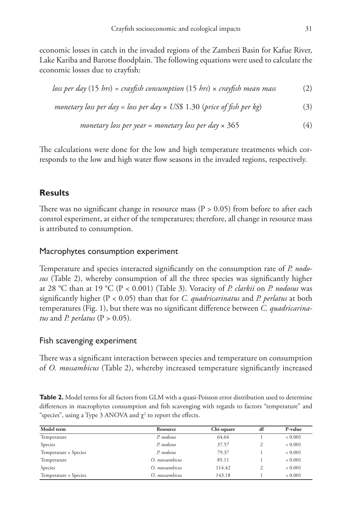economic losses in catch in the invaded regions of the Zambezi Basin for Kafue River, Lake Kariba and Barotse floodplain. The following equations were used to calculate the economic losses due to crayfish:

$$
loss per day (15 hrs) = crazyfish consumption (15 hrs) \times crayfish mean mass
$$
 (2)

*monetary loss per day = loss per day × US\$* 1.30 (*price of fish per kg*) 
$$
(3)
$$

*monetary loss per year = monetary loss per day* 
$$
\times
$$
 365 (4)

The calculations were done for the low and high temperature treatments which corresponds to the low and high water flow seasons in the invaded regions, respectively.

## **Results**

There was no significant change in resource mass ( $P > 0.05$ ) from before to after each control experiment, at either of the temperatures; therefore, all change in resource mass is attributed to consumption.

### Macrophytes consumption experiment

Temperature and species interacted significantly on the consumption rate of *P. nodosus* (Table 2), whereby consumption of all the three species was significantly higher at 28 °C than at 19 °C (P < 0.001) (Table 3). Voracity of *P. clarkii* on *P. nodosus* was significantly higher (P < 0.05) than that for *C. quadricarinatus* and *P. perlatus* at both temperatures (Fig. 1), but there was no significant difference between *C. quadricarinatus* and *P. perlatus* ( $P > 0.05$ ).

### Fish scavenging experiment

There was a significant interaction between species and temperature on consumption of *O. mossambicus* (Table 2), whereby increased temperature significantly increased

**Table 2.** Model terms for all factors from GLM with a quasi-Poisson error distribution used to determine differences in macrophytes consumption and fish scavenging with regards to factors "temperature" and "species", using a Type 3 ANOVA and  $\chi^2$  to report the effects.

| Model term            | Resource       | Chi-square | df | P-value        |  |
|-----------------------|----------------|------------|----|----------------|--|
| Temperature           | P. nodosus     | 64.64      |    | ${}_{<} 0.001$ |  |
| Species               | P. nodosus     | 37.57      |    | ${}_{<} 0.001$ |  |
| Temperature × Species | P. nodosus     | 79.37      |    | ${}_{<} 0.001$ |  |
| Temperature           | O. mossambicus | 85.11      |    | ${}_{<} 0.001$ |  |
| Species               | O. mossambicus | 114.42     |    | ${}_{<} 0.001$ |  |
| Temperature × Species | O. mossambicus | 143.18     |    | < 0.001        |  |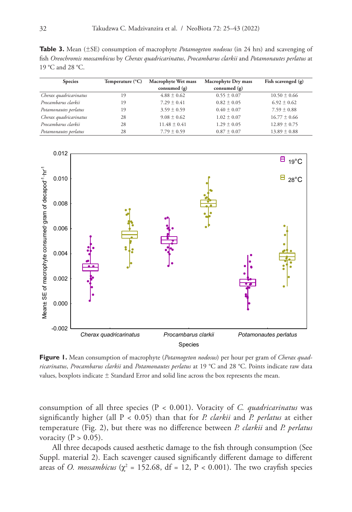**Table 3.** Mean (±SE) consumption of macrophyte *Potamogeton nodosus* (in 24 hrs) and scavenging of fish *Oreochromis mossambicus* by *Cherax quadricarinatus*, *Procambarus clarkii* and *Potamonautes perlatus* at 19 °C and 28 °C.

| <b>Species</b>         | Temperature $(^{\circ}C)$ | Macrophyte Wet mass<br>Macrophyte Dry mass |                 | Fish scavenged (g) |  |
|------------------------|---------------------------|--------------------------------------------|-----------------|--------------------|--|
|                        |                           | consumed $(g)$                             | consumed $(g)$  |                    |  |
| Cherax quadricarinatus | 19                        | $4.88 \pm 0.62$                            | $0.55 \pm 0.07$ | $10.50 \pm 0.66$   |  |
| Procambarus clarkii    | 19                        | $7.29 + 0.41$                              | $0.82 \pm 0.05$ | $6.92 \pm 0.62$    |  |
| Potamonautes perlatus  | 19                        | $3.59 \pm 0.59$                            | $0.40 \pm 0.07$ | $7.59 \pm 0.88$    |  |
| Cherax quadricarinatus | 28                        | $9.08 \pm 0.62$                            | $1.02 \pm 0.07$ | $16.77 \pm 0.66$   |  |
| Procambarus clarkii    | 28                        | $11.48 + 0.41$                             | $1.29 \pm 0.05$ | $12.89 \pm 0.75$   |  |
| Potamonautes perlatus  | 28                        | $7.79 \pm 0.59$                            | $0.87 \pm 0.07$ | $13.89 \pm 0.88$   |  |



Figure 1. Mean consumption of macrophyte (*Potamogeton nodosus*) per hour per gram of **Figure 1.** Mean consumption of macrophyte (*Potamogeton nodosus*) per hour per gram of *Cherax quad-***Cherax dependent of the Cherax quadricarinatus** competitive and *Potamonautes per la Potamonautes per la Potamonautes per la Potamonautes per la Potamonautes per la Potamonautes per la Potamonautes per la Potamonautes per ricarinatus, Procambarus clarkii* and *Potamonautes perlatus* at 19 °C and 28 °C. Points indicate raw data values, boxplots indicate  $\pm$  Standard Error and solid line across the box represents the mean.

consumption of all three species (P < 0.001). Voracity of *C. quadricarinatus* was significantly higher (all P < 0.05) than that for *P. clarkii* and *P. perlatus* at either temperature (Fig. 2), but there was no difference between *P. clarkii* and *P. perlatus*  voracity ( $P > 0.05$ ).

All three decapods caused aesthetic damage to the fish through consumption (See Suppl. material 2). Each scavenger caused significantly different damage to different areas of *O. mossambicus* ( $\chi^2$  = 152.68, df = 12, P < 0.001). The two crayfish species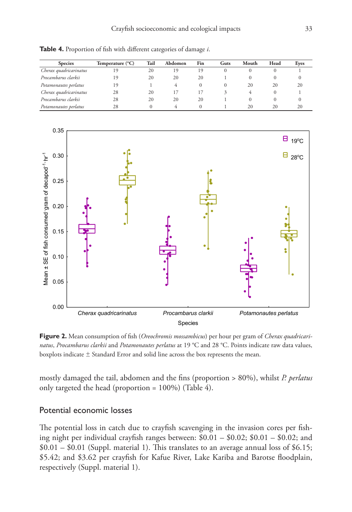| <b>Species</b>         | Temperature (°C) | Tail | Abdomen | Fin     | Guts | Mouth | Head | Eyes |
|------------------------|------------------|------|---------|---------|------|-------|------|------|
| Cherax quadricarinatus | 19               | 20   | 19      | 19      |      |       |      |      |
| Procambarus clarkii    | 19               | 20   | 20      | 20      |      |       |      |      |
| Potamonautes perlatus  | 19               |      |         | $^{()}$ |      | 20    | 20   | 20   |
| Cherax quadricarinatus | 28               | 20   |         |         |      |       |      |      |
| Procambarus clarkii    | 28               | 20   | 20      | 20      |      |       |      |      |
| Potamonautes perlatus  | 28               |      |         |         |      | 20    | 20   | 20   |

**Table 4.** Proportion of fish with different categories of damage *i*.



**Figure 2.** Mean consumption of fish (*Oreochromis mossambicus*) per hour per gram of *Cherax quadricarinatus*, *Procambarus clarkii* and *Potamonautes perlatus* at 19 °C and 28 °C. Points indicate raw data values, boxplots indicate ± Standard Error and solid line across the box represents the mean.

mostly damaged the tail, abdomen and the fins (proportion > 80%), whilst *P. perlatus* only targeted the head (proportion = 100%) (Table 4).

## Potential economic losses

The potential loss in catch due to crayfish scavenging in the invasion cores per fishing night per individual crayfish ranges between: \$0.01 – \$0.02; \$0.01 – \$0.02; and  $$0.01 - $0.01$  (Suppl. material 1). This translates to an average annual loss of \$6.15; \$5.42; and \$3.62 per crayfish for Kafue River, Lake Kariba and Barotse floodplain, respectively (Suppl. material 1).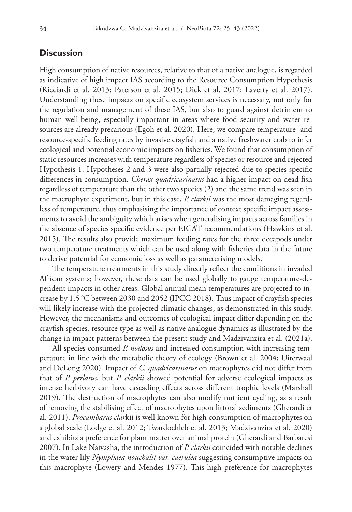## **Discussion**

High consumption of native resources, relative to that of a native analogue, is regarded as indicative of high impact IAS according to the Resource Consumption Hypothesis (Ricciardi et al. 2013; Paterson et al. 2015; Dick et al. 2017; Laverty et al. 2017). Understanding these impacts on specific ecosystem services is necessary, not only for the regulation and management of these IAS, but also to guard against detriment to human well-being, especially important in areas where food security and water resources are already precarious (Egoh et al. 2020). Here, we compare temperature- and resource-specific feeding rates by invasive crayfish and a native freshwater crab to infer ecological and potential economic impacts on fisheries. We found that consumption of static resources increases with temperature regardless of species or resource and rejected Hypothesis 1. Hypotheses 2 and 3 were also partially rejected due to species specific differences in consumption. *Cherax quadricarinatus* had a higher impact on dead fish regardless of temperature than the other two species (2) and the same trend was seen in the macrophyte experiment, but in this case, *P. clarkii* was the most damaging regardless of temperature, thus emphasising the importance of context specific impact assessments to avoid the ambiguity which arises when generalising impacts across families in the absence of species specific evidence per EICAT recommendations (Hawkins et al. 2015). The results also provide maximum feeding rates for the three decapods under two temperature treatments which can be used along with fisheries data in the future to derive potential for economic loss as well as parameterising models.

The temperature treatments in this study directly reflect the conditions in invaded African systems; however, these data can be used globally to gauge temperature-dependent impacts in other areas. Global annual mean temperatures are projected to increase by 1.5 °C between 2030 and 2052 (IPCC 2018). Thus impact of crayfish species will likely increase with the projected climatic changes, as demonstrated in this study. However, the mechanisms and outcomes of ecological impact differ depending on the crayfish species, resource type as well as native analogue dynamics as illustrated by the change in impact patterns between the present study and Madzivanzira et al. (2021a).

All species consumed *P. nodosus* and increased consumption with increasing temperature in line with the metabolic theory of ecology (Brown et al. 2004; Uiterwaal and DeLong 2020). Impact of *C. quadricarinatus* on macrophytes did not differ from that of *P. perlatus*, but *P. clarkii* showed potential for adverse ecological impacts as intense herbivory can have cascading effects across different trophic levels (Marshall 2019). The destruction of macrophytes can also modify nutrient cycling, as a result of removing the stabilising effect of macrophytes upon littoral sediments (Gherardi et al. 2011). *Procambarus clar*kii is well known for high consumption of macrophytes on a global scale (Lodge et al. 2012; Twardochleb et al. 2013; Madzivanzira et al. 2020) and exhibits a preference for plant matter over animal protein (Gherardi and Barbaresi 2007). In Lake Naivasha, the introduction of *P. clarkii* coincided with notable declines in the water lily *Nymphaea nouchalii var. caerulea* suggesting consumptive impacts on this macrophyte (Lowery and Mendes 1977). This high preference for macrophytes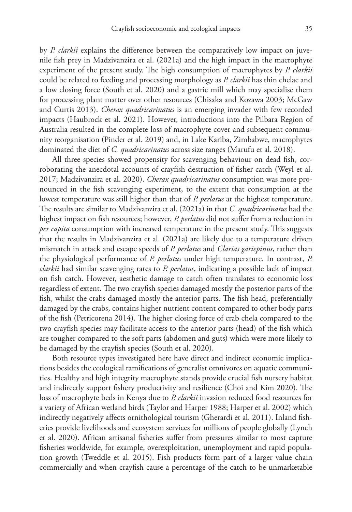by *P. clarkii* explains the difference between the comparatively low impact on juvenile fish prey in Madzivanzira et al. (2021a) and the high impact in the macrophyte experiment of the present study. The high consumption of macrophytes by *P. clarkii*  could be related to feeding and processing morphology as *P. clarkii* has thin chelae and a low closing force (South et al. 2020) and a gastric mill which may specialise them for processing plant matter over other resources (Chisaka and Kozawa 2003; McGaw and Curtis 2013). *Cherax quadricarinatus* is an emerging invader with few recorded impacts (Haubrock et al. 2021). However, introductions into the Pilbara Region of Australia resulted in the complete loss of macrophyte cover and subsequent community reorganisation (Pinder et al. 2019) and, in Lake Kariba, Zimbabwe, macrophytes dominated the diet of *C. quadricarinatus* across size ranges (Marufu et al. 2018).

All three species showed propensity for scavenging behaviour on dead fish, corroborating the anecdotal accounts of crayfish destruction of fisher catch (Weyl et al. 2017; Madzivanzira et al. 2020). *Cherax quadricarinatus* consumption was more pronounced in the fish scavenging experiment, to the extent that consumption at the lowest temperature was still higher than that of *P. perlatus* at the highest temperature. The results are similar to Madzivanzira et al. (2021a) in that *C. quadricarinatus* had the highest impact on fish resources; however, *P. perlatus* did not suffer from a reduction in *per capita* consumption with increased temperature in the present study. This suggests that the results in Madzivanzira et al. (2021a) are likely due to a temperature driven mismatch in attack and escape speeds of *P. perlatus* and *Clarias gariepinus*, rather than the physiological performance of *P. perlatus* under high temperature. In contrast, *P. clarkii* had similar scavenging rates to *P. perlatus*, indicating a possible lack of impact on fish catch. However, aesthetic damage to catch often translates to economic loss regardless of extent. The two crayfish species damaged mostly the posterior parts of the fish, whilst the crabs damaged mostly the anterior parts. The fish head, preferentially damaged by the crabs, contains higher nutrient content compared to other body parts of the fish (Petricorena 2014). The higher closing force of crab chela compared to the two crayfish species may facilitate access to the anterior parts (head) of the fish which are tougher compared to the soft parts (abdomen and guts) which were more likely to be damaged by the crayfish species (South et al. 2020).

Both resource types investigated here have direct and indirect economic implications besides the ecological ramifications of generalist omnivores on aquatic communities. Healthy and high integrity macrophyte stands provide crucial fish nursery habitat and indirectly support fishery productivity and resilience (Choi and Kim 2020). The loss of macrophyte beds in Kenya due to *P. clarkii* invasion reduced food resources for a variety of African wetland birds (Taylor and Harper 1988; Harper et al. 2002) which indirectly negatively affects ornithological tourism (Gherardi et al. 2011). Inland fisheries provide livelihoods and ecosystem services for millions of people globally (Lynch et al. 2020). African artisanal fisheries suffer from pressures similar to most capture fisheries worldwide, for example, overexploitation, unemployment and rapid population growth (Tweddle et al. 2015). Fish products form part of a larger value chain commercially and when crayfish cause a percentage of the catch to be unmarketable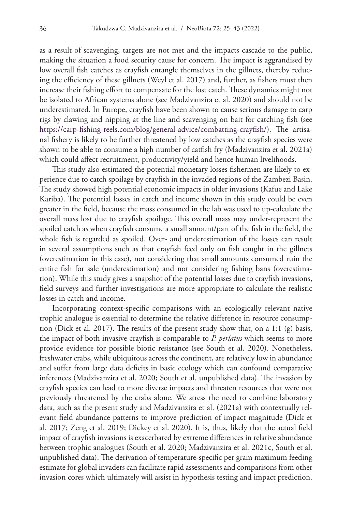as a result of scavenging, targets are not met and the impacts cascade to the public, making the situation a food security cause for concern. The impact is aggrandised by low overall fish catches as crayfish entangle themselves in the gillnets, thereby reducing the efficiency of these gillnets (Weyl et al. 2017) and, further, as fishers must then increase their fishing effort to compensate for the lost catch. These dynamics might not be isolated to African systems alone (see Madzivanzira et al. 2020) and should not be underestimated. In Europe, crayfish have been shown to cause serious damage to carp rigs by clawing and nipping at the line and scavenging on bait for catching fish (see [https://carp-fishing-reels.com/blog/general-advice/combatting-crayfish/\)](https://carp-fishing-reels.com/blog/general-advice/combatting-crayfish/). The artisanal fishery is likely to be further threatened by low catches as the crayfish species were shown to be able to consume a high number of catfish fry (Madzivanzira et al. 2021a) which could affect recruitment, productivity/yield and hence human livelihoods.

This study also estimated the potential monetary losses fishermen are likely to experience due to catch spoilage by crayfish in the invaded regions of the Zambezi Basin. The study showed high potential economic impacts in older invasions (Kafue and Lake Kariba). The potential losses in catch and income shown in this study could be even greater in the field, because the mass consumed in the lab was used to up-calculate the overall mass lost due to crayfish spoilage. This overall mass may under-represent the spoiled catch as when crayfish consume a small amount/part of the fish in the field, the whole fish is regarded as spoiled. Over- and underestimation of the losses can result in several assumptions such as that crayfish feed only on fish caught in the gillnets (overestimation in this case), not considering that small amounts consumed ruin the entire fish for sale (underestimation) and not considering fishing bans (overestimation). While this study gives a snapshot of the potential losses due to crayfish invasions, field surveys and further investigations are more appropriate to calculate the realistic losses in catch and income.

Incorporating context-specific comparisons with an ecologically relevant native trophic analogue is essential to determine the relative difference in resource consumption (Dick et al. 2017). The results of the present study show that, on a 1:1 (g) basis, the impact of both invasive crayfish is comparable to *P. perlatus* which seems to more provide evidence for possible biotic resistance (see South et al. 2020)*.* Nonetheless, freshwater crabs, while ubiquitous across the continent, are relatively low in abundance and suffer from large data deficits in basic ecology which can confound comparative inferences (Madzivanzira et al. 2020; South et al. unpublished data). The invasion by crayfish species can lead to more diverse impacts and threaten resources that were not previously threatened by the crabs alone. We stress the need to combine laboratory data, such as the present study and Madzivanzira et al. (2021a) with contextually relevant field abundance patterns to improve prediction of impact magnitude (Dick et al. 2017; Zeng et al. 2019; Dickey et al. 2020). It is, thus, likely that the actual field impact of crayfish invasions is exacerbated by extreme differences in relative abundance between trophic analogues (South et al. 2020; Madzivanzira et al. 2021c, South et al. unpublished data). The derivation of temperature-specific per gram maximum feeding estimate for global invaders can facilitate rapid assessments and comparisons from other invasion cores which ultimately will assist in hypothesis testing and impact prediction.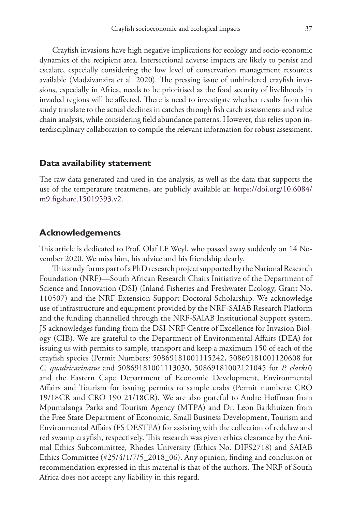Crayfish invasions have high negative implications for ecology and socio-economic dynamics of the recipient area. Intersectional adverse impacts are likely to persist and escalate, especially considering the low level of conservation management resources available (Madzivanzira et al. 2020). The pressing issue of unhindered crayfish invasions, especially in Africa, needs to be prioritised as the food security of livelihoods in invaded regions will be affected. There is need to investigate whether results from this study translate to the actual declines in catches through fish catch assessments and value chain analysis, while considering field abundance patterns. However, this relies upon interdisciplinary collaboration to compile the relevant information for robust assessment.

#### **Data availability statement**

The raw data generated and used in the analysis, as well as the data that supports the use of the temperature treatments, are publicly available at: [https://doi.org/10.6084/](https://doi.org/10.6084/m9.figshare.15019593.v2) [m9.figshare.15019593.v2](https://doi.org/10.6084/m9.figshare.15019593.v2).

## **Acknowledgements**

This article is dedicated to Prof. Olaf LF Weyl, who passed away suddenly on 14 November 2020. We miss him, his advice and his friendship dearly.

This study forms part of a PhD research project supported by the National Research Foundation (NRF)—South African Research Chairs Initiative of the Department of Science and Innovation (DSI) (Inland Fisheries and Freshwater Ecology, Grant No. 110507) and the NRF Extension Support Doctoral Scholarship. We acknowledge use of infrastructure and equipment provided by the NRF-SAIAB Research Platform and the funding channelled through the NRF-SAIAB Institutional Support system. JS acknowledges funding from the DSI-NRF Centre of Excellence for Invasion Biology (CIB). We are grateful to the Department of Environmental Affairs (DEA) for issuing us with permits to sample, transport and keep a maximum 150 of each of the crayfish species (Permit Numbers: 50869181001115242, 50869181001120608 for *C. quadricarinatus* and 50869181001113030, 50869181002121045 for *P. clarkii*) and the Eastern Cape Department of Economic Development, Environmental Affairs and Tourism for issuing permits to sample crabs (Permit numbers: CRO 19/18CR and CRO 190 21/18CR). We are also grateful to Andre Hoffman from Mpumalanga Parks and Tourism Agency (MTPA) and Dr. Leon Barkhuizen from the Free State Department of Economic, Small Business Development, Tourism and Environmental Affairs (FS DESTEA) for assisting with the collection of redclaw and red swamp crayfish, respectively. This research was given ethics clearance by the Animal Ethics Subcommittee, Rhodes University (Ethics No. DIFS2718) and SAIAB Ethics Committee (#25/4/1/7/5\_2018\_06). Any opinion, finding and conclusion or recommendation expressed in this material is that of the authors. The NRF of South Africa does not accept any liability in this regard.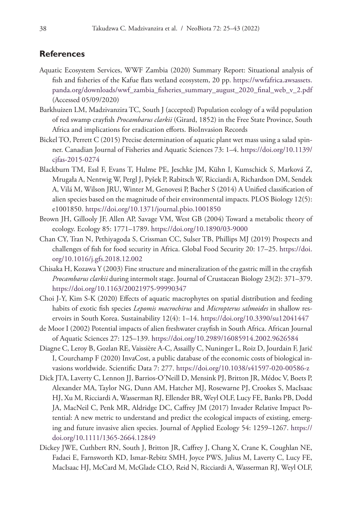## **References**

- Aquatic Ecosystem Services, WWF Zambia (2020) Summary Report: Situational analysis of fish and fisheries of the Kafue flats wetland ecosystem, 20 pp. [https://wwfafrica.awsassets.](https://wwfafrica.awsassets.panda.org/downloads/wwf_zambia_fisheries_summary_august_2020_final_web_v_2.pdf) [panda.org/downloads/wwf\\_zambia\\_fisheries\\_summary\\_august\\_2020\\_final\\_web\\_v\\_2.pdf](https://wwfafrica.awsassets.panda.org/downloads/wwf_zambia_fisheries_summary_august_2020_final_web_v_2.pdf) (Accessed 05/09/2020)
- Barkhuizen LM, Madzivanzira TC, South J (accepted) Population ecology of a wild population of red swamp crayfish *Procambarus clarkii* (Girard, 1852) in the Free State Province, South Africa and implications for eradication efforts. BioInvasion Records
- Bickel TO, Perrett C (2015) Precise determination of aquatic plant wet mass using a salad spinner. Canadian Journal of Fisheries and Aquatic Sciences 73: 1–4. [https://doi.org/10.1139/](https://doi.org/10.1139/cjfas-2015-0274) [cjfas-2015-0274](https://doi.org/10.1139/cjfas-2015-0274)
- Blackburn TM, Essl F, Evans T, Hulme PE, Jeschke JM, Kühn I, Kumschick S, Marková Z, Mrugała A, Nentwig W, Pergl J, Pyšek P, Rabitsch W, Ricciardi A, Richardson DM, Sendek A, Vilá M, Wilson JRU, Winter M, Genovesi P, Bacher S (2014) A Unified classification of alien species based on the magnitude of their environmental impacts. PLOS Biology 12(5): e1001850.<https://doi.org/10.1371/journal.pbio.1001850>
- Brown JH, Gillooly JF, Allen AP, Savage VM, West GB (2004) Toward a metabolic theory of ecology. Ecology 85: 1771–1789. <https://doi.org/10.1890/03-9000>
- Chan CY, Tran N, Pethiyagoda S, Crissman CC, Sulser TB, Phillips MJ (2019) Prospects and challenges of fish for food security in Africa. Global Food Security 20: 17–25. [https://doi.](https://doi.org/10.1016/j.gfs.2018.12.002) [org/10.1016/j.gfs.2018.12.002](https://doi.org/10.1016/j.gfs.2018.12.002)
- Chisaka H, Kozawa Y (2003) Fine structure and mineralization of the gastric mill in the crayfish *Procambarus clarkii* during intermolt stage. Journal of Crustacean Biology 23(2): 371–379. <https://doi.org/10.1163/20021975-99990347>
- Choi J-Y, Kim S-K (2020) Effects of aquatic macrophytes on spatial distribution and feeding habits of exotic fish species *Lepomis macrochirus* and *Micropterus salmoides* in shallow reservoirs in South Korea. Sustainability 12(4): 1–14.<https://doi.org/10.3390/su12041447>
- de Moor I (2002) Potential impacts of alien freshwater crayfish in South Africa. African Journal of Aquatic Sciences 27: 125–139. <https://doi.org/10.2989/16085914.2002.9626584>
- Diagne C, Leroy B, Gozlan RE, Vaissière A-C, Assailly C, Nuninger L, Roiz D, Jourdain F, Jarić I, Courchamp F (2020) InvaCost, a public database of the economic costs of biological invasions worldwide. Scientific Data 7: 277.<https://doi.org/10.1038/s41597-020-00586-z>
- Dick JTA, Laverty C, Lennon JJ, Barrios-O'Neill D, Mensink PJ, Britton JR, Médoc V, Boets P, Alexander MA, Taylor NG, Dunn AM, Hatcher MJ, Rosewarne PJ, Crookes S, MacIsaac HJ, Xu M, Ricciardi A, Wasserman RJ, Ellender BR, Weyl OLF, Lucy FE, Banks PB, Dodd JA, MacNeil C, Penk MR, Aldridge DC, Caffrey JM (2017) Invader Relative Impact Potential: A new metric to understand and predict the ecological impacts of existing, emerging and future invasive alien species. Journal of Applied Ecology 54: 1259–1267. [https://](https://doi.org/10.1111/1365-2664.12849) [doi.org/10.1111/1365-2664.12849](https://doi.org/10.1111/1365-2664.12849)
- Dickey JWE, Cuthbert RN, South J, Britton JR, Caffrey J, Chang X, Crane K, Coughlan NE, Fadaei E, Farnsworth KD, Ismar-Rebitz SMH, Joyce PWS, Julius M, Laverty C, Lucy FE, MacIsaac HJ, McCard M, McGlade CLO, Reid N, Ricciardi A, Wasserman RJ, Weyl OLF,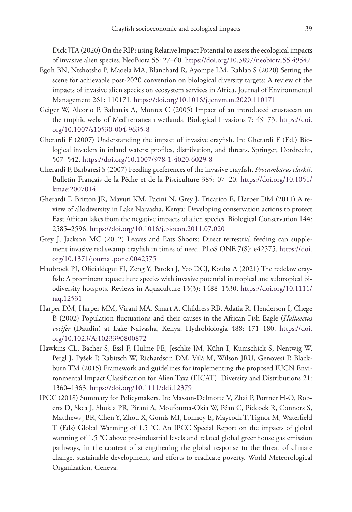Dick JTA (2020) On the RIP: using Relative Impact Potential to assess the ecological impacts of invasive alien species. NeoBiota 55: 27–60.<https://doi.org/10.3897/neobiota.55.49547>

- Egoh BN, Ntshotsho P, Maoela MA, Blanchard R, Ayompe LM, Rahlao S (2020) Setting the scene for achievable post-2020 convention on biological diversity targets: A review of the impacts of invasive alien species on ecosystem services in Africa. Journal of Environmental Management 261: 110171. <https://doi.org/10.1016/j.jenvman.2020.110171>
- Geiger W, Alcorlo P, Baltanás A, Montes C (2005) Impact of an introduced crustacean on the trophic webs of Mediterranean wetlands. Biological Invasions 7: 49–73. [https://doi.](https://doi.org/10.1007/s10530-004-9635-8) [org/10.1007/s10530-004-9635-8](https://doi.org/10.1007/s10530-004-9635-8)
- Gherardi F (2007) Understanding the impact of invasive crayfish. In: Gherardi F (Ed.) Biological invaders in inland waters: profiles, distribution, and threats. Springer, Dordrecht, 507–542.<https://doi.org/10.1007/978-1-4020-6029-8>
- Gherardi F, Barbaresi S (2007) Feeding preferences of the invasive crayfish, *Procambarus clarkii*. Bulletin Français de la Pêche et de la Pisciculture 385: 07–20. [https://doi.org/10.1051/](https://doi.org/10.1051/kmae:2007014) [kmae:2007014](https://doi.org/10.1051/kmae:2007014)
- Gherardi F, Britton JR, Mavuti KM, Pacini N, Grey J, Tricarico E, Harper DM (2011) A review of allodiversity in Lake Naivasha, Kenya: Developing conservation actions to protect East African lakes from the negative impacts of alien species. Biological Conservation 144: 2585–2596.<https://doi.org/10.1016/j.biocon.2011.07.020>
- Grey J, Jackson MC (2012) Leaves and Eats Shoots: Direct terrestrial feeding can supplement invasive red swamp crayfish in times of need. PLoS ONE 7(8): e42575. [https://doi.](https://doi.org/10.1371/journal.pone.0042575) [org/10.1371/journal.pone.0042575](https://doi.org/10.1371/journal.pone.0042575)
- Haubrock PJ, Oficialdegui FJ, Zeng Y, Patoka J, Yeo DCJ, Kouba A (2021) The redclaw crayfish: A prominent aquaculture species with invasive potential in tropical and subtropical biodiversity hotspots. Reviews in Aquaculture 13(3): 1488–1530. [https://doi.org/10.1111/](https://doi.org/10.1111/raq.12531) [raq.12531](https://doi.org/10.1111/raq.12531)
- Harper DM, Harper MM, Virani MA, Smart A, Childress RB, Adatia R, Henderson I, Chege B (2002) Population fluctuations and their causes in the African Fish Eagle (*Haliaeetus vocifer* (Daudin) at Lake Naivasha, Kenya. Hydrobiologia 488: 171–180. [https://doi.](https://doi.org/10.1023/A:1023390800872) [org/10.1023/A:1023390800872](https://doi.org/10.1023/A:1023390800872)
- Hawkins CL, Bacher S, Essl F, Hulme PE, Jeschke JM, Kühn I, Kumschick S, Nentwig W, Pergl J, Pyšek P, Rabitsch W, Richardson DM, Vilà M, Wilson JRU, Genovesi P, Blackburn TM (2015) Framework and guidelines for implementing the proposed IUCN Environmental Impact Classification for Alien Taxa (EICAT). Diversity and Distributions 21: 1360–1363.<https://doi.org/10.1111/ddi.12379>
- IPCC (2018) Summary for Policymakers. In: Masson-Delmotte V, Zhai P, Pörtner H-O, Roberts D, Skea J, Shukla PR, Pirani A, Moufouma-Okia W, Péan C, Pidcock R, Connors S, Matthews JBR, Chen Y, Zhou X, Gomis MI, Lonnoy E, Maycock T, Tignor M, Waterfield T (Eds) Global Warming of 1.5 °C. An IPCC Special Report on the impacts of global warming of 1.5 °C above pre-industrial levels and related global greenhouse gas emission pathways, in the context of strengthening the global response to the threat of climate change, sustainable development, and efforts to eradicate poverty. World Meteorological Organization, Geneva.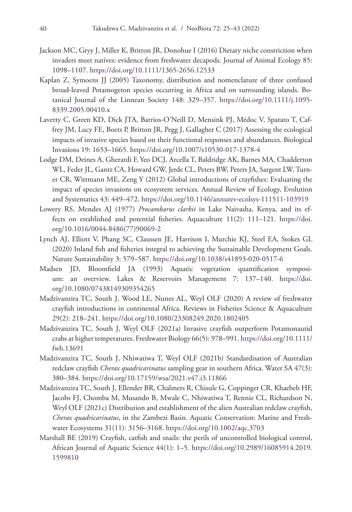- Jackson MC, Gryy J, Miller K, Britton JR, Donohue I (2016) Dietary niche constriction when invaders meet natives: evidence from freshwater decapods. Journal of Animal Ecology 85: 1098–1107.<https://doi.org/10.1111/1365-2656.12533>
- Kaplan Z, Symoens JJ (2005) Taxonomy, distribution and nomenclature of three confused broad-leaved Potamogeton species occurring in Africa and on surrounding islands. Botanical Journal of the Linnean Society 148: 329–357. [https://doi.org/10.1111/j.1095-](https://doi.org/10.1111/j.1095-8339.2005.00410.x) [8339.2005.00410.x](https://doi.org/10.1111/j.1095-8339.2005.00410.x)
- Laverty C, Green KD, Dick JTA, Barrios-O'Neill D, Mensink PJ, Médoc V, Spataro T, Caffrey JM, Lucy FE, Boets P, Britton JR, Pegg J, Gallagher C (2017) Assessing the ecological impacts of invasive species based on their functional responses and abundances. Biological Invasions 19: 1653–1665. <https://doi.org/10.1007/s10530-017-1378-4>
- Lodge DM, Deines A, Gherardi F, Yeo DCJ, Arcella T, Baldridge AK, Barnes MA, Chadderton WL, Feder JL, Gantz CA, Howard GW, Jerde CL, Peters BW, Peters JA, Sargent LW, Turner CR, Wittmann ME, Zeng Y (2012) Global introductions of crayfishes: Evaluating the impact of species invasions on ecosystem services. Annual Review of Ecology, Evolution and Systematics 43: 449–472.<https://doi.org/10.1146/annurev-ecolsys-111511-103919>
- Lowery RS, Mendes AJ (1977) *Procambarus clarkii* in Lake Naivasha, Kenya, and its effects on established and potential fisheries. Aquaculture 11(2): 111–121. [https://doi.](https://doi.org/10.1016/0044-8486(77)90069-2) [org/10.1016/0044-8486\(77\)90069-2](https://doi.org/10.1016/0044-8486(77)90069-2)
- Lynch AJ, Elliott V, Phang SC, Claussen JE, Harrison I, Murchie KJ, Steel EA, Stokes GL (2020) Inland fish and fisheries integral to achieving the Sustainable Development Goals. Nature Sustainability 3: 579–587.<https://doi.org/10.1038/s41893-020-0517-6>
- Madsen JD, Bloomfield JA (1993) Aquatic vegetation quantification symposium: an overview. Lakes & Reservoirs Management 7: 137–140. [https://doi.](https://doi.org/10.1080/07438149309354265) [org/10.1080/07438149309354265](https://doi.org/10.1080/07438149309354265)
- Madzivanzira TC, South J, Wood LE, Nunes AL, Weyl OLF (2020) A review of freshwater crayfish introductions in continental Africa. Reviews in Fisheries Science & Aquaculture 29(2): 218–241. <https://doi.org/10.1080/23308249.2020.1802405>
- Madzivanzira TC, South J, Weyl OLF (2021a) Invasive crayfish outperform Potamonautid crabs at higher temperatures. Freshwater Biology 66(5): 978–991. [https://doi.org/10.1111/](https://doi.org/10.1111/fwb.13691) [fwb.13691](https://doi.org/10.1111/fwb.13691)
- Madzivanzira TC, South J, Nhiwatiwa T, Weyl OLF (2021b) Standardisation of Australian redclaw crayfish *Cherax quadricarinatus* sampling gear in southern Africa. Water SA 47(3): 380–384.<https://doi.org/10.17159/wsa/2021.v47.i3.11866>
- Madzivanzira TC, South J, Ellender BR, Chalmers R, Chisule G, Coppinger CR, Khaebeb HF, Jacobs FJ, Chomba M, Musando B, Mwale C, Nhiwatiwa T, Rennie CL, Richardson N, Weyl OLF (2021c) Distribution and establishment of the alien Australian redclaw crayfish, *Cherax quadricarinatus*, in the Zambezi Basin. Aquatic Conservation: Marine and Freshwater Ecosystems 31(11): 3156–3168.<https://doi.org/10.1002/aqc.3703>
- Marshall BE (2019) Crayfish, catfish and snails: the perils of uncontrolled biological control, African Journal of Aquatic Science 44(1): 1–5. [https://doi.org/10.2989/16085914.2019.](https://doi.org/10.2989/16085914.2019.1599810) [1599810](https://doi.org/10.2989/16085914.2019.1599810)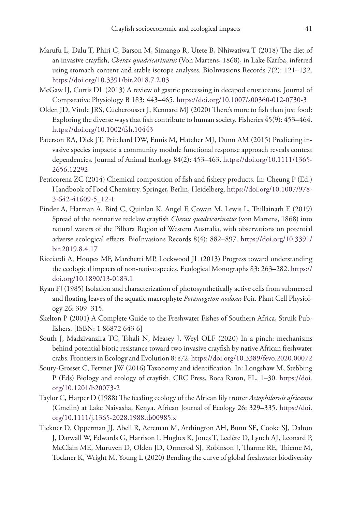- Marufu L, Dalu T, Phiri C, Barson M, Simango R, Utete B, Nhiwatiwa T (2018) The diet of an invasive crayfish, *Cherax quadricarinatus* (Von Martens, 1868), in Lake Kariba, inferred using stomach content and stable isotope analyses. BioInvasions Records 7(2): 121–132. <https://doi.org/10.3391/bir.2018.7.2.03>
- McGaw IJ, Curtis DL (2013) A review of gastric processing in decapod crustaceans. Journal of Comparative Physiology B 183: 443–465. <https://doi.org/10.1007/s00360-012-0730-3>
- Olden JD, Vitule JRS, Cucherousset J, Kennard MJ (2020) There's more to fish than just food: Exploring the diverse ways that fish contribute to human society. Fisheries 45(9): 453–464. <https://doi.org/10.1002/fsh.10443>
- Paterson RA, Dick JT, Pritchard DW, Ennis M, Hatcher MJ, Dunn AM (2015) Predicting invasive species impacts: a community module functional response approach reveals context dependencies. Journal of Animal Ecology 84(2): 453–463. [https://doi.org/10.1111/1365-](https://doi.org/10.1111/1365-2656.12292) [2656.12292](https://doi.org/10.1111/1365-2656.12292)
- Petricorena ZC (2014) Chemical composition of fish and fishery products. In: Cheung P (Ed.) Handbook of Food Chemistry. Springer, Berlin, Heidelberg. [https://doi.org/10.1007/978-](https://doi.org/10.1007/978-3-642-41609-5_12-1) [3-642-41609-5\\_12-1](https://doi.org/10.1007/978-3-642-41609-5_12-1)
- Pinder A, Harman A, Bird C, Quinlan K, Angel F, Cowan M, Lewis L, Thillainath E (2019) Spread of the nonnative redclaw crayfish *Cherax quadricarinatus* (von Martens, 1868) into natural waters of the Pilbara Region of Western Australia, with observations on potential adverse ecological effects. BioInvasions Records 8(4): 882–897. [https://doi.org/10.3391/](https://doi.org/10.3391/bir.2019.8.4.17) [bir.2019.8.4.17](https://doi.org/10.3391/bir.2019.8.4.17)
- Ricciardi A, Hoopes MF, Marchetti MP, Lockwood JL (2013) Progress toward understanding the ecological impacts of non-native species. Ecological Monographs 83: 263–282. [https://](https://doi.org/10.1890/13-0183.1) [doi.org/10.1890/13-0183.1](https://doi.org/10.1890/13-0183.1)
- Ryan FJ (1985) Isolation and characterization of photosynthetically active cells from submersed and floating leaves of the aquatic macrophyte *Potamogeton nodosus* Poir. Plant Cell Physiology 26: 309–315.
- Skelton P (2001) A Complete Guide to the Freshwater Fishes of Southern Africa, Struik Publishers. [ISBN: 1 86872 643 6]
- South J, Madzivanzira TC, Tshali N, Measey J, Weyl OLF (2020) In a pinch: mechanisms behind potential biotic resistance toward two invasive crayfish by native African freshwater crabs. Frontiers in Ecology and Evolution 8: e72.<https://doi.org/10.3389/fevo.2020.00072>
- Souty-Grosset C, Fetzner JW (2016) Taxonomy and identification. In: Longshaw M, Stebbing P (Eds) Biology and ecology of crayfish. CRC Press, Boca Raton, FL, 1–30. [https://doi.](https://doi.org/10.1201/b20073-2) [org/10.1201/b20073-2](https://doi.org/10.1201/b20073-2)
- Taylor C, Harper D (1988) The feeding ecology of the African lily trotter *Actophilornis africanus* (Gmelin) at Lake Naivasha, Kenya. African Journal of Ecology 26: 329–335. [https://doi.](https://doi.org/10.1111/j.1365-2028.1988.tb00985.x) [org/10.1111/j.1365-2028.1988.tb00985.x](https://doi.org/10.1111/j.1365-2028.1988.tb00985.x)
- Tickner D, Opperman JJ, Abell R, Acreman M, Arthington AH, Bunn SE, Cooke SJ, Dalton J, Darwall W, Edwards G, Harrison I, Hughes K, Jones T, Leclère D, Lynch AJ, Leonard P, McClain ME, Muruven D, Olden JD, Ormerod SJ, Robinson J, Tharme RE, Thieme M, Tockner K, Wright M, Young L (2020) Bending the curve of global freshwater biodiversity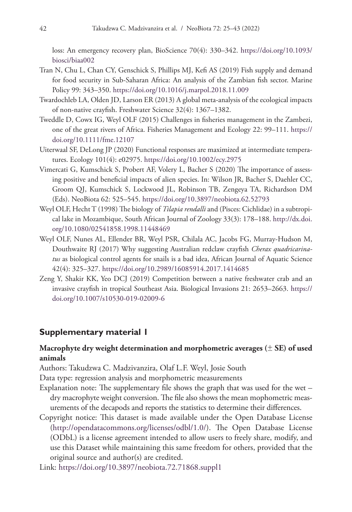loss: An emergency recovery plan, BioScience 70(4): 330–342. [https://doi.org/10.1093/](https://doi.org/10.1093/biosci/biaa002) [biosci/biaa002](https://doi.org/10.1093/biosci/biaa002)

- Tran N, Chu L, Chan CY, Genschick S, Phillips MJ, Kefi AS (2019) Fish supply and demand for food security in Sub-Saharan Africa: An analysis of the Zambian fish sector. Marine Policy 99: 343–350.<https://doi.org/10.1016/j.marpol.2018.11.009>
- Twardochleb LA, Olden JD, Larson ER (2013) A global meta-analysis of the ecological impacts of non-native crayfish. Freshwater Science 32(4): 1367–1382.
- Tweddle D, Cowx IG, Weyl OLF (2015) Challenges in fisheries management in the Zambezi, one of the great rivers of Africa. Fisheries Management and Ecology 22: 99–111. [https://](https://doi.org/10.1111/fme.12107) [doi.org/10.1111/fme.12107](https://doi.org/10.1111/fme.12107)
- Uiterwaal SF, DeLong JP (2020) Functional responses are maximized at intermediate temperatures. Ecology 101(4): e02975. <https://doi.org/10.1002/ecy.2975>
- Vimercati G, Kumschick S, Probert AF, Volery L, Bacher S (2020) The importance of assessing positive and beneficial impacts of alien species. In: Wilson JR, Bacher S, Daehler CC, Groom QJ, Kumschick S, Lockwood JL, Robinson TB, Zengeya TA, Richardson DM (Eds). NeoBiota 62: 525–545.<https://doi.org/10.3897/neobiota.62.52793>
- Weyl OLF, Hecht T (1998) The biology of *Tilapia rendalli* and (Pisces: Cichlidae) in a subtropical lake in Mozambique, South African Journal of Zoology 33(3): 178–188. [http://dx.doi.](http://dx.doi.org/10.1080/02541858.1998.11448469) [org/10.1080/02541858.1998.11448469](http://dx.doi.org/10.1080/02541858.1998.11448469)
- Weyl OLF, Nunes AL, Ellender BR, Weyl PSR, Chilala AC, Jacobs FG, Murray-Hudson M, Douthwaite RJ (2017) Why suggesting Australian redclaw crayfish *Cherax quadricarinatus* as biological control agents for snails is a bad idea, African Journal of Aquatic Science 42(4): 325–327. <https://doi.org/10.2989/16085914.2017.1414685>
- Zeng Y, Shakir KK, Yeo DCJ (2019) Competition between a native freshwater crab and an invasive crayfish in tropical Southeast Asia. Biological Invasions 21: 2653–2663. [https://](https://doi.org/10.1007/s10530-019-02009-6) [doi.org/10.1007/s10530-019-02009-6](https://doi.org/10.1007/s10530-019-02009-6)

## **Supplementary material 1**

## **Macrophyte dry weight determination and morphometric averages (**± **SE) of used animals**

Authors: Takudzwa C. Madzivanzira, Olaf L.F. Weyl, Josie South

Data type: regression analysis and morphometric measurements

- Explanation note: The supplementary file shows the graph that was used for the wet dry macrophyte weight conversion. The file also shows the mean mophometric measurements of the decapods and reports the statistics to determine their differences.
- Copyright notice: This dataset is made available under the Open Database License [\(http://opendatacommons.org/licenses/odbl/1.0/](http://opendatacommons.org/licenses/odbl/1.0/)). The Open Database License (ODbL) is a license agreement intended to allow users to freely share, modify, and use this Dataset while maintaining this same freedom for others, provided that the original source and author(s) are credited.

Link: <https://doi.org/10.3897/neobiota.72.71868.suppl1>